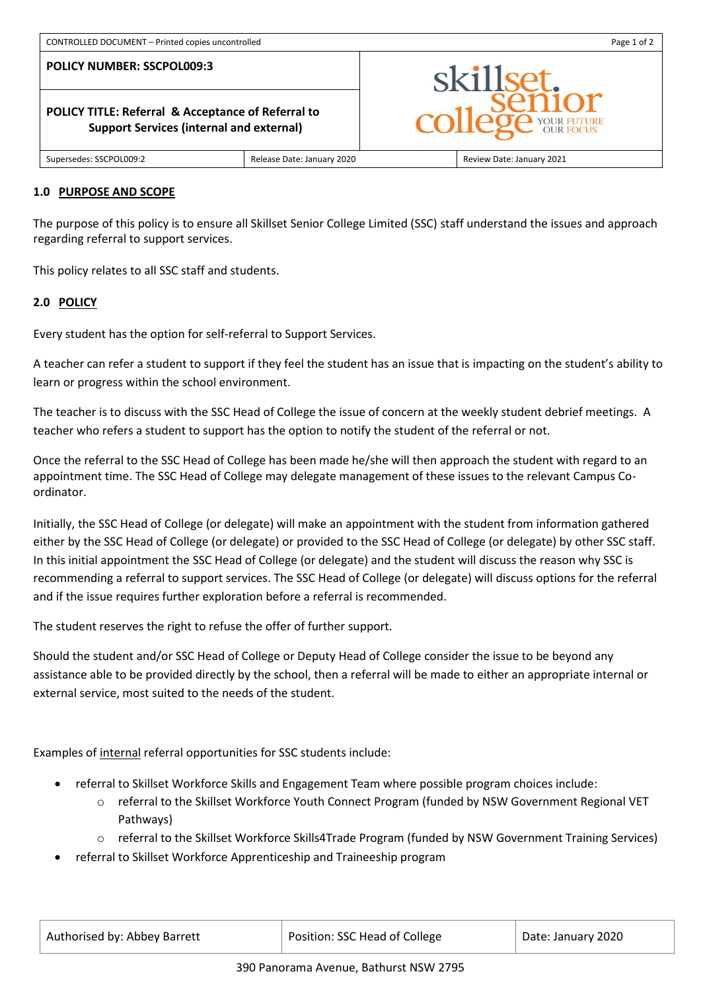**POLICY NUMBER: SSCPOL009:3**

**POLICY TITLE: Referral & Acceptance of Referral to Support Services (internal and external)**



Supersedes: SSCPOL009:2 Release Date: January 2020 Review Date: January 2021

## **1.0 PURPOSE AND SCOPE**

The purpose of this policy is to ensure all Skillset Senior College Limited (SSC) staff understand the issues and approach regarding referral to support services.

This policy relates to all SSC staff and students.

## **2.0 POLICY**

Every student has the option for self-referral to Support Services.

A teacher can refer a student to support if they feel the student has an issue that is impacting on the student's ability to learn or progress within the school environment.

The teacher is to discuss with the SSC Head of College the issue of concern at the weekly student debrief meetings. A teacher who refers a student to support has the option to notify the student of the referral or not.

Once the referral to the SSC Head of College has been made he/she will then approach the student with regard to an appointment time. The SSC Head of College may delegate management of these issues to the relevant Campus Coordinator.

Initially, the SSC Head of College (or delegate) will make an appointment with the student from information gathered either by the SSC Head of College (or delegate) or provided to the SSC Head of College (or delegate) by other SSC staff. In this initial appointment the SSC Head of College (or delegate) and the student will discuss the reason why SSC is recommending a referral to support services. The SSC Head of College (or delegate) will discuss options for the referral and if the issue requires further exploration before a referral is recommended.

The student reserves the right to refuse the offer of further support.

Should the student and/or SSC Head of College or Deputy Head of College consider the issue to be beyond any assistance able to be provided directly by the school, then a referral will be made to either an appropriate internal or external service, most suited to the needs of the student.

Examples of internal referral opportunities for SSC students include:

- referral to Skillset Workforce Skills and Engagement Team where possible program choices include:
	- o referral to the Skillset Workforce Youth Connect Program (funded by NSW Government Regional VET Pathways)
	- o referral to the Skillset Workforce Skills4Trade Program (funded by NSW Government Training Services)
- referral to Skillset Workforce Apprenticeship and Traineeship program

| Authorised by: Abbey Barrett | Position: SSC Head of College | Date: January 2020 |
|------------------------------|-------------------------------|--------------------|
|                              |                               |                    |